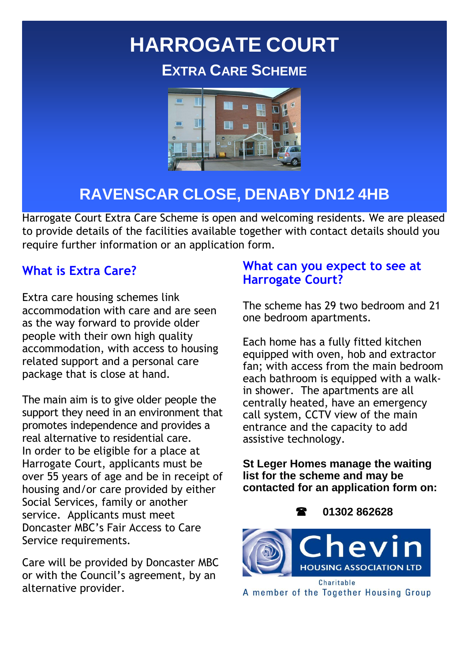# **HARROGATE COURT EXTRA CARE SCHEME**



### **RAVENSCAR CLOSE, DENABY DN12 4HB**

Harrogate Court Extra Care Scheme is open and welcoming residents. We are pleased to provide details of the facilities available together with contact details should you require further information or an application form.

#### **What is Extra Care?**

Extra care housing schemes link accommodation with care and are seen as the way forward to provide older people with their own high quality accommodation, with access to housing related support and a personal care package that is close at hand.

The main aim is to give older people the support they need in an environment that promotes independence and provides a real alternative to residential care. In order to be eligible for a place at Harrogate Court, applicants must be over 55 years of age and be in receipt of housing and/or care provided by either Social Services, family or another service. Applicants must meet Doncaster MBC's Fair Access to Care Service requirements.

Care will be provided by Doncaster MBC or with the Council's agreement, by an alternative provider.

#### **What can you expect to see at Harrogate Court?**

The scheme has 29 two bedroom and 21 one bedroom apartments.

Each home has a fully fitted kitchen equipped with oven, hob and extractor fan; with access from the main bedroom each bathroom is equipped with a walkin shower. The apartments are all centrally heated, have an emergency call system, CCTV view of the main entrance and the capacity to add assistive technology.

**St Leger Homes manage the waiting list for the scheme and may be contacted for an application form on:** 

 **01302 862628**